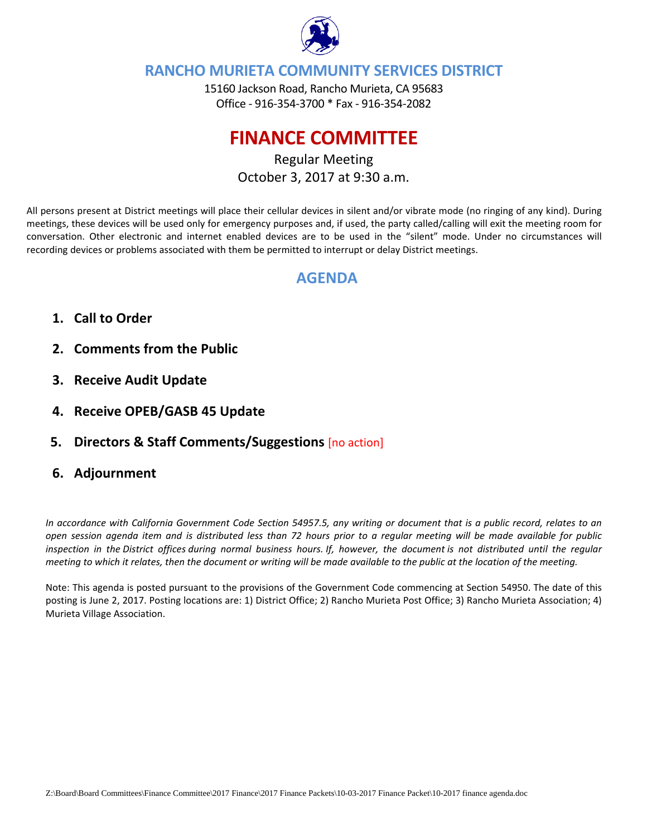

### **RANCHO MURIETA COMMUNITY SERVICES DISTRICT**

15160 Jackson Road, Rancho Murieta, CA 95683 Office ‐ 916‐354‐3700 \* Fax ‐ 916‐354‐2082

# **FINANCE COMMITTEE**

Regular Meeting October 3, 2017 at 9:30 a.m.

All persons present at District meetings will place their cellular devices in silent and/or vibrate mode (no ringing of any kind). During meetings, these devices will be used only for emergency purposes and, if used, the party called/calling will exit the meeting room for conversation. Other electronic and internet enabled devices are to be used in the "silent" mode. Under no circumstances will recording devices or problems associated with them be permitted to interrupt or delay District meetings.

## **AGENDA**

- **1. Call to Order**
- **2. Comments from the Public**
- **3. Receive Audit Update**
- **4. Receive OPEB/GASB 45 Update**
- **5. Directors & Staff Comments/Suggestions** [no action]
- **6. Adjournment**

In accordance with California Government Code Section 54957.5, any writing or document that is a public record, relates to an open session agenda item and is distributed less than 72 hours prior to a regular meeting will be made available for public inspection in the District offices during normal business hours. If, however, the document is not distributed until the regular meeting to which it relates, then the document or writing will be made available to the public at the location of the meeting.

Note: This agenda is posted pursuant to the provisions of the Government Code commencing at Section 54950. The date of this posting is June 2, 2017. Posting locations are: 1) District Office; 2) Rancho Murieta Post Office; 3) Rancho Murieta Association; 4) Murieta Village Association.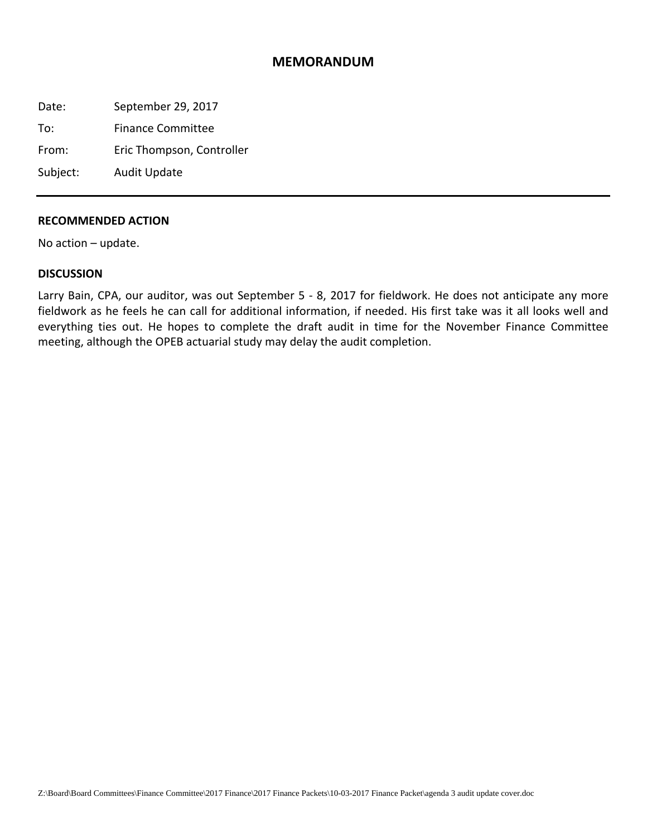#### **MEMORANDUM**

Date: September 29, 2017

To: Finance Committee

From: Eric Thompson, Controller

Subject: Audit Update

#### **RECOMMENDED ACTION**

No action – update.

#### **DISCUSSION**

Larry Bain, CPA, our auditor, was out September 5 - 8, 2017 for fieldwork. He does not anticipate any more fieldwork as he feels he can call for additional information, if needed. His first take was it all looks well and everything ties out. He hopes to complete the draft audit in time for the November Finance Committee meeting, although the OPEB actuarial study may delay the audit completion.